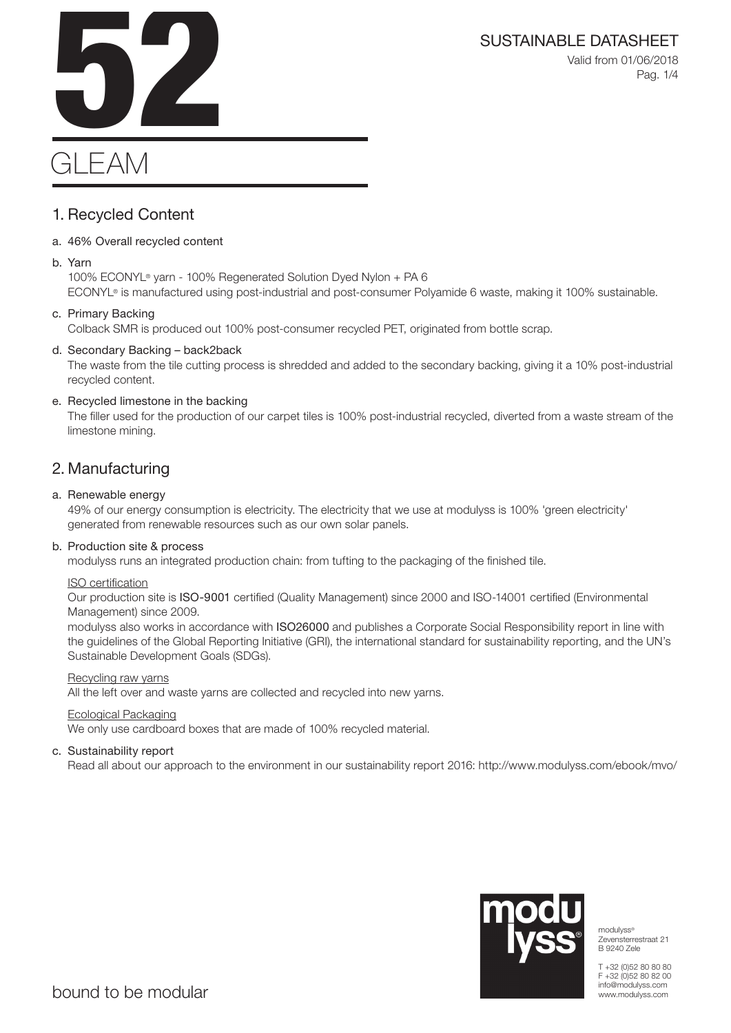Valid from 01/06/2018 Pag. 1/4



# **GLEAM**

# 1. Recycled Content

#### a. 46% Overall recycled content

b. Yarn

100% ECONYL® yarn - 100% Regenerated Solution Dyed Nylon + PA 6 ECONYL® is manufactured using post-industrial and post-consumer Polyamide 6 waste, making it 100% sustainable.

#### c. Primary Backing

Colback SMR is produced out 100% post-consumer recycled PET, originated from bottle scrap.

#### d. Secondary Backing – back2back

The waste from the tile cutting process is shredded and added to the secondary backing, giving it a 10% post-industrial recycled content.

### e. Recycled limestone in the backing

The filler used for the production of our carpet tiles is 100% post-industrial recycled, diverted from a waste stream of the limestone mining.

# 2. Manufacturing

#### a. Renewable energy

49% of our energy consumption is electricity. The electricity that we use at modulyss is 100% 'green electricity' generated from renewable resources such as our own solar panels.

#### b. Production site & process

modulyss runs an integrated production chain: from tufting to the packaging of the finished tile.

#### ISO certification

Our production site is ISO-9001 certified (Quality Management) since 2000 and ISO-14001 certified (Environmental Management) since 2009.

modulyss also works in accordance with ISO26000 and publishes a Corporate Social Responsibility report in line with the guidelines of the Global Reporting Initiative (GRI), the international standard for sustainability reporting, and the UN's Sustainable Development Goals (SDGs).

#### Recycling raw yarns

All the left over and waste yarns are collected and recycled into new yarns.

#### Ecological Packaging

We only use cardboard boxes that are made of 100% recycled material.

#### c. Sustainability report

Read all about our approach to the environment in our sustainability report 2016: http://www.modulyss.com/ebook/mvo/



modulyss® Zevensterrestraat 21 B 9240 Zele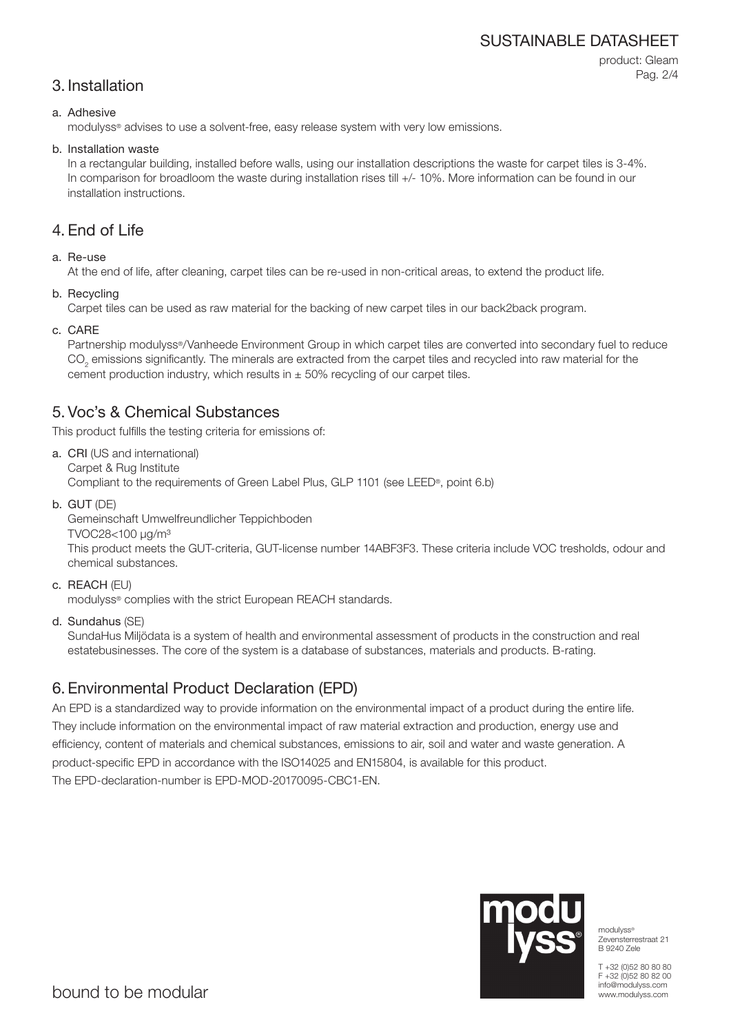# SUSTAINABLE DATASHEET

# 3. Installation

product: Gleam Pag. 2/4

#### a. Adhesive

modulyss® advises to use a solvent-free, easy release system with very low emissions.

#### b. Installation waste

In a rectangular building, installed before walls, using our installation descriptions the waste for carpet tiles is 3-4%. In comparison for broadloom the waste during installation rises till  $+/-10\%$ . More information can be found in our installation instructions.

## 4. End of Life

#### a. Re-use

At the end of life, after cleaning, carpet tiles can be re-used in non-critical areas, to extend the product life.

b. Recycling

Carpet tiles can be used as raw material for the backing of new carpet tiles in our back2back program.

c. CARE

Partnership modulyss®/Vanheede Environment Group in which carpet tiles are converted into secondary fuel to reduce  $\mathrm{CO}_2$  emissions significantly. The minerals are extracted from the carpet tiles and recycled into raw material for the cement production industry, which results in  $\pm$  50% recycling of our carpet tiles.

# 5. Voc's & Chemical Substances

This product fulfills the testing criteria for emissions of:

- a. CRI (US and international) Carpet & Rug Institute Compliant to the requirements of Green Label Plus, GLP 1101 (see LEED®, point 6.b)
- b. GUT (DE)

Gemeinschaft Umwelfreundlicher Teppichboden

TVOC28<100 μg/m³

This product meets the GUT-criteria, GUT-license number 14ABF3F3. These criteria include VOC tresholds, odour and chemical substances.

c. REACH (EU)

modulyss® complies with the strict European REACH standards.

d. Sundahus (SE)

SundaHus Miljödata is a system of health and environmental assessment of products in the construction and real estatebusinesses. The core of the system is a database of substances, materials and products. B-rating.

# 6. Environmental Product Declaration (EPD)

An EPD is a standardized way to provide information on the environmental impact of a product during the entire life. They include information on the environmental impact of raw material extraction and production, energy use and efficiency, content of materials and chemical substances, emissions to air, soil and water and waste generation. A product-specific EPD in accordance with the ISO14025 and EN15804, is available for this product. The EPD-declaration-number is EPD-MOD-20170095-CBC1-EN.



modulyss® Zevensterrestraat 21 B 9240 Zele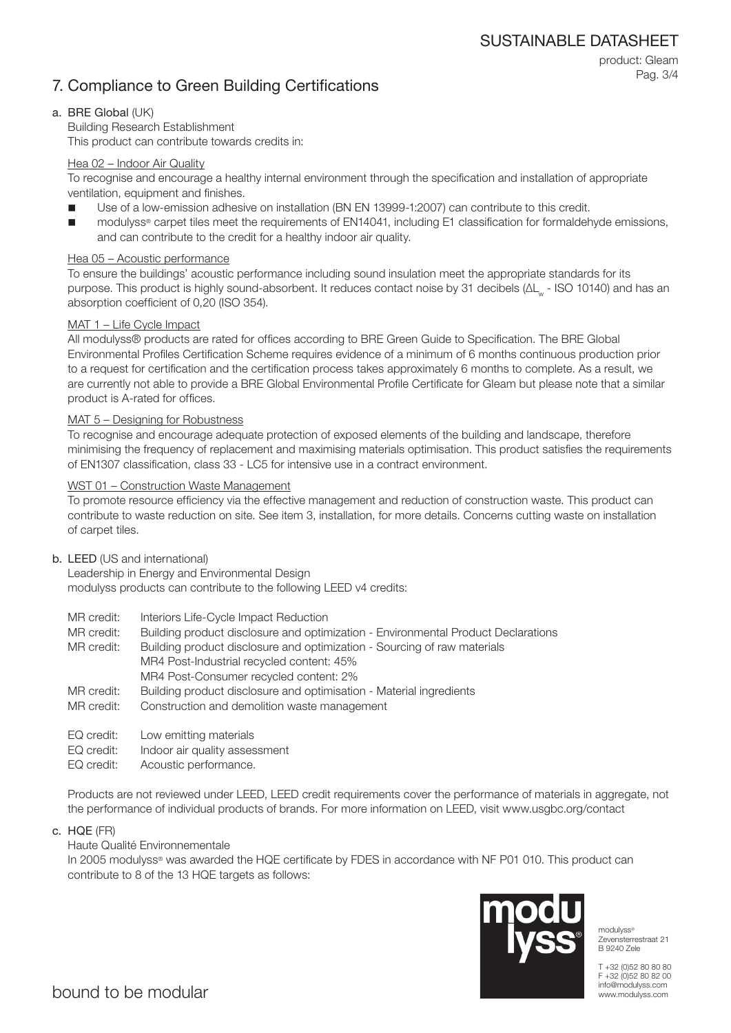# 7. Compliance to Green Building Certifications

product: Gleam Pag. 3/4

#### a. BRE Global (UK)

Building Research Establishment This product can contribute towards credits in:

#### Hea 02 – Indoor Air Quality

To recognise and encourage a healthy internal environment through the specification and installation of appropriate ventilation, equipment and finishes.

- Use of a low-emission adhesive on installation (BN EN 13999-1:2007) can contribute to this credit.
- modulyss® carpet tiles meet the requirements of EN14041, including E1 classification for formaldehyde emissions, and can contribute to the credit for a healthy indoor air quality.

#### Hea 05 – Acoustic performance

To ensure the buildings' acoustic performance including sound insulation meet the appropriate standards for its purpose. This product is highly sound-absorbent. It reduces contact noise by 31 decibels (ΔL<sub>w</sub> - ISO 10140) and has an absorption coefficient of 0,20 (ISO 354).

#### MAT 1 – Life Cycle Impact

All modulyss® products are rated for offices according to BRE Green Guide to Specification. The BRE Global Environmental Profiles Certification Scheme requires evidence of a minimum of 6 months continuous production prior to a request for certification and the certification process takes approximately 6 months to complete. As a result, we are currently not able to provide a BRE Global Environmental Profile Certificate for Gleam but please note that a similar product is A-rated for offices.

#### MAT 5 – Designing for Robustness

To recognise and encourage adequate protection of exposed elements of the building and landscape, therefore minimising the frequency of replacement and maximising materials optimisation. This product satisfies the requirements of EN1307 classification, class 33 - LC5 for intensive use in a contract environment.

#### WST 01 – Construction Waste Management

To promote resource efficiency via the effective management and reduction of construction waste. This product can contribute to waste reduction on site. See item 3, installation, for more details. Concerns cutting waste on installation of carpet tiles.

#### b. LEED (US and international)

Leadership in Energy and Environmental Design modulyss products can contribute to the following LEED v4 credits:

- MR credit: Interiors Life-Cycle Impact Reduction
- MR credit: Building product disclosure and optimization Environmental Product Declarations

MR credit: Building product disclosure and optimization - Sourcing of raw materials MR4 Post-Industrial recycled content: 45% MR4 Post-Consumer recycled content: 2%

- MR credit: Building product disclosure and optimisation Material ingredients
- MR credit: Construction and demolition waste management
- EQ credit: Low emitting materials
- EQ credit: Indoor air quality assessment
- EQ credit: Acoustic performance.

Products are not reviewed under LEED, LEED credit requirements cover the performance of materials in aggregate, not the performance of individual products of brands. For more information on LEED, visit www.usgbc.org/contact

c. HQE (FR)

#### Haute Qualité Environnementale

In 2005 modulyss® was awarded the HQE certificate by FDES in accordance with NF P01 010. This product can contribute to 8 of the 13 HQE targets as follows:



modulyss® Zevensterrestraat 21 B 9240 Zele